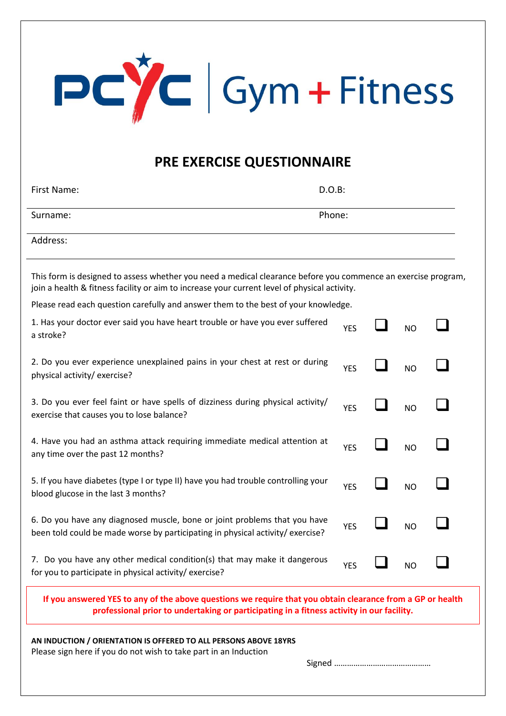

## **PRE EXERCISE QUESTIONNAIRE**

| First Name: | D.O.B: |
|-------------|--------|
| Surname:    | Phone: |
| Address:    |        |

This form is designed to assess whether you need a medical clearance before you commence an exercise program, join a health & fitness facility or aim to increase your current level of physical activity.

Please read each question carefully and answer them to the best of your knowledge.

| AN INDUCTION / ORIENTATION IS OFFERED TO ALL PERSONS ABOVE 18YRS                                                                                                                                        |            |                |  |
|---------------------------------------------------------------------------------------------------------------------------------------------------------------------------------------------------------|------------|----------------|--|
| If you answered YES to any of the above questions we require that you obtain clearance from a GP or health<br>professional prior to undertaking or participating in a fitness activity in our facility. |            |                |  |
| for you to participate in physical activity/exercise?                                                                                                                                                   | <b>YES</b> | <b>NO</b>      |  |
| 7. Do you have any other medical condition(s) that may make it dangerous                                                                                                                                |            |                |  |
| 6. Do you have any diagnosed muscle, bone or joint problems that you have<br>been told could be made worse by participating in physical activity/ exercise?                                             | <b>YES</b> | <b>NO</b>      |  |
| 5. If you have diabetes (type I or type II) have you had trouble controlling your<br>blood glucose in the last 3 months?                                                                                | <b>YES</b> | <b>NO</b>      |  |
| 4. Have you had an asthma attack requiring immediate medical attention at<br>any time over the past 12 months?                                                                                          | <b>YES</b> | <b>NO</b>      |  |
| 3. Do you ever feel faint or have spells of dizziness during physical activity/<br>exercise that causes you to lose balance?                                                                            | <b>YES</b> | <b>NO</b>      |  |
| 2. Do you ever experience unexplained pains in your chest at rest or during<br>physical activity/exercise?                                                                                              | <b>YES</b> | <b>NO</b>      |  |
| 1. Has your doctor ever said you have heart trouble or have you ever suffered<br>a stroke?                                                                                                              | <b>YES</b> | N <sub>O</sub> |  |

Please sign here if you do not wish to take part in an Induction

Signed ………………………………………